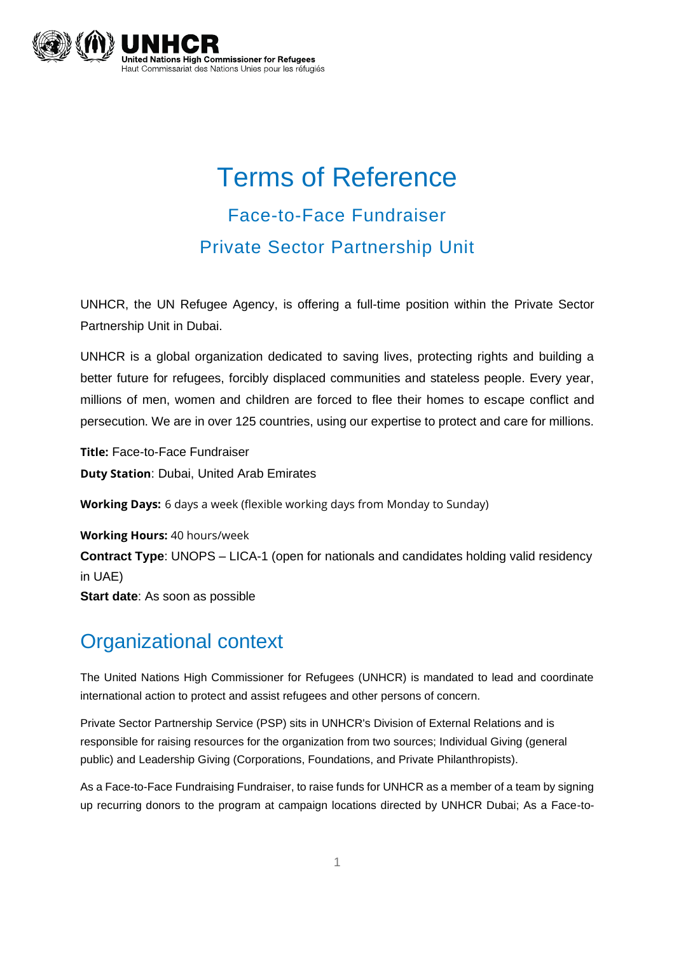

# Terms of Reference Face-to-Face Fundraiser Private Sector Partnership Unit

UNHCR, the UN Refugee Agency, is offering a full-time position within the Private Sector Partnership Unit in Dubai.

UNHCR is a global organization dedicated to saving lives, protecting rights and building a better future for refugees, forcibly displaced communities and stateless people. Every year, millions of men, women and children are forced to flee their homes to escape conflict and persecution. We are in over 125 countries, using our expertise to protect and care for millions.

**Title:** Face-to-Face Fundraiser **Duty Station**: Dubai, United Arab Emirates

**Working Days:** 6 days a week (flexible working days from Monday to Sunday)

**Working Hours:** 40 hours/week **Contract Type**: UNOPS – LICA-1 (open for nationals and candidates holding valid residency in UAE) **Start date**: As soon as possible

# Organizational context

The United Nations High Commissioner for Refugees (UNHCR) is mandated to lead and coordinate international action to protect and assist refugees and other persons of concern.

Private Sector Partnership Service (PSP) sits in UNHCR's Division of External Relations and is responsible for raising resources for the organization from two sources; Individual Giving (general public) and Leadership Giving (Corporations, Foundations, and Private Philanthropists).

As a Face-to-Face Fundraising Fundraiser, to raise funds for UNHCR as a member of a team by signing up recurring donors to the program at campaign locations directed by UNHCR Dubai; As a Face-to-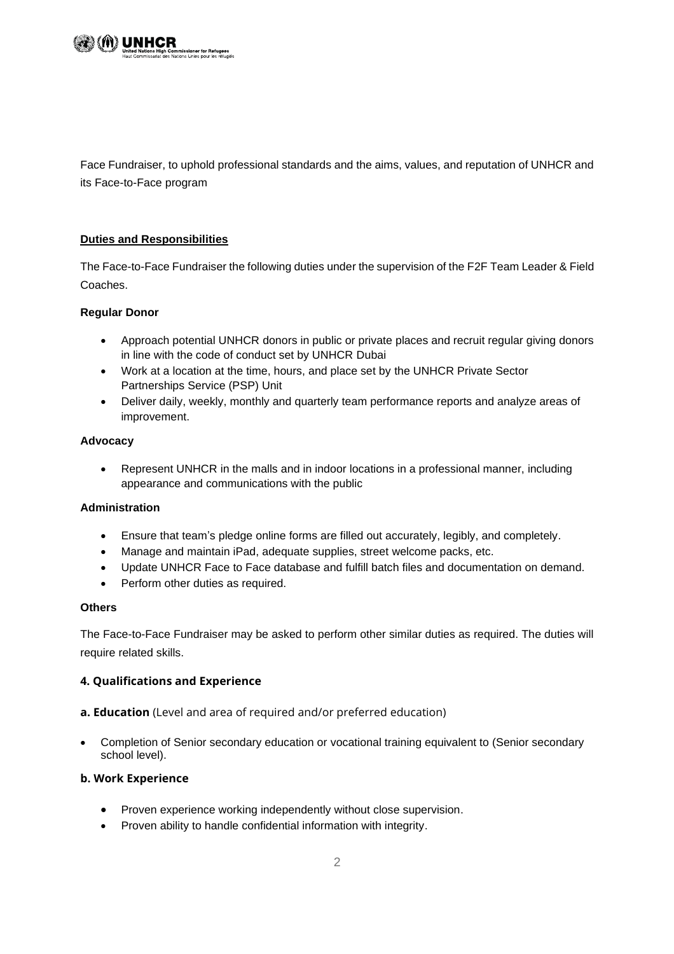

Face Fundraiser, to uphold professional standards and the aims, values, and reputation of UNHCR and its Face-to-Face program

# **Duties and Responsibilities**

The Face-to-Face Fundraiser the following duties under the supervision of the F2F Team Leader & Field Coaches.

# **Regular Donor**

- Approach potential UNHCR donors in public or private places and recruit regular giving donors in line with the code of conduct set by UNHCR Dubai
- Work at a location at the time, hours, and place set by the UNHCR Private Sector Partnerships Service (PSP) Unit
- Deliver daily, weekly, monthly and quarterly team performance reports and analyze areas of improvement.

#### **Advocacy**

• Represent UNHCR in the malls and in indoor locations in a professional manner, including appearance and communications with the public

# **Administration**

- Ensure that team's pledge online forms are filled out accurately, legibly, and completely.
- Manage and maintain iPad, adequate supplies, street welcome packs, etc.
- Update UNHCR Face to Face database and fulfill batch files and documentation on demand.
- Perform other duties as required.

#### **Others**

The Face-to-Face Fundraiser may be asked to perform other similar duties as required. The duties will require related skills.

# **4. Qualifications and Experience**

- **a. Education** (Level and area of required and/or preferred education)
- Completion of Senior secondary education or vocational training equivalent to (Senior secondary school level).

# **b. Work Experience**

- Proven experience working independently without close supervision.
- Proven ability to handle confidential information with integrity.